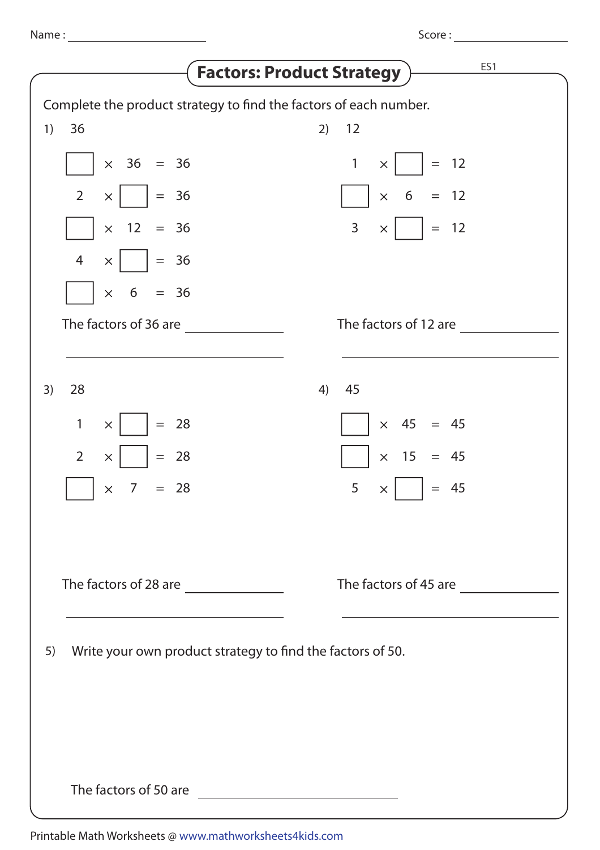|                            |                                                            | <b>Factors: Product Strategy</b>                                  | ES1 |
|----------------------------|------------------------------------------------------------|-------------------------------------------------------------------|-----|
|                            |                                                            | Complete the product strategy to find the factors of each number. |     |
| 1)<br>36                   |                                                            | 12<br>2)                                                          |     |
| $\times$ 36 = 36           |                                                            | $= 12$<br>$\mathbf{1}$<br>$\times$                                |     |
| $\overline{2}$<br>$\times$ | $= 36$                                                     | $= 12$<br>6<br>$\times$                                           |     |
| $\times$ 12                | $= 36$                                                     | $\mathsf{3}$<br>$= 12$<br>$\times$                                |     |
| $\overline{4}$<br>$\times$ | $= 36$                                                     |                                                                   |     |
| 6<br>$\times$              | $= 36$                                                     |                                                                   |     |
| The factors of 36 are      |                                                            | The factors of 12 are                                             |     |
| 28<br>3)                   |                                                            | 45<br>4)                                                          |     |
| $\mathbf{1}$<br>$\times$   | $= 28$                                                     | $\times$ 45 = 45                                                  |     |
| $\overline{2}$<br>$\times$ | $= 28$                                                     | 15<br>$\times^-$<br>$= 45$                                        |     |
| $\overline{7}$<br>$\times$ | $= 28$                                                     | 5<br>$= 45$<br>$\times$                                           |     |
|                            |                                                            |                                                                   |     |
|                            |                                                            | The factors of 45 are                                             |     |
| 5)                         | Write your own product strategy to find the factors of 50. |                                                                   |     |
|                            |                                                            |                                                                   |     |
|                            |                                                            |                                                                   |     |
| The factors of 50 are      |                                                            | <u> 1989 - Johann Barn, mars ann an t-A</u>                       |     |